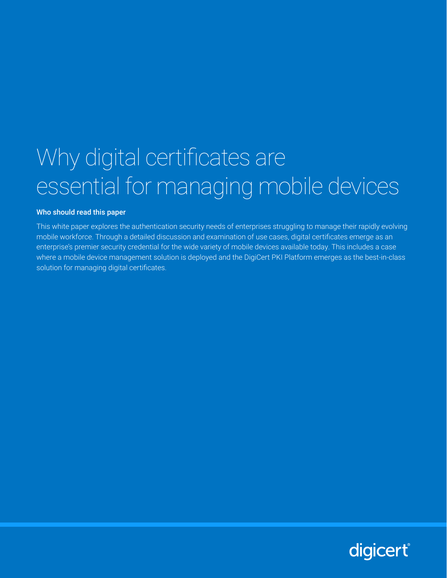# Why digital certificates are essential for managing mobile devices

#### Who should read this paper

This white paper explores the authentication security needs of enterprises struggling to manage their rapidly evolving mobile workforce. Through a detailed discussion and examination of use cases, digital certificates emerge as an enterprise's premier security credential for the wide variety of mobile devices available today. This includes a case where a mobile device management solution is deployed and the DigiCert PKI Platform emerges as the best-in-class solution for managing digital certificates.

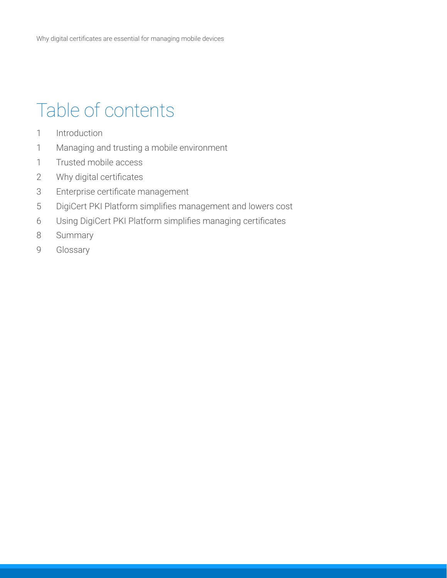## Table of contents

- 1 Introduction
- 1 Managing and trusting a mobile environment
- 1 Trusted mobile access
- 2 Why digital certificates
- 3 Enterprise certificate management
- 5 DigiCert PKI Platform simplifies management and lowers cost
- 6 Using DigiCert PKI Platform simplifies managing certificates
- 8 Summary
- 9 Glossary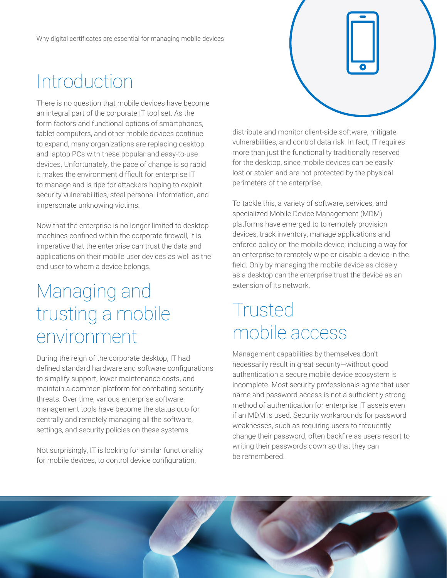### Introduction

There is no question that mobile devices have become an integral part of the corporate IT tool set. As the form factors and functional options of smartphones, tablet computers, and other mobile devices continue to expand, many organizations are replacing desktop and laptop PCs with these popular and easy-to-use devices. Unfortunately, the pace of change is so rapid it makes the environment difficult for enterprise IT to manage and is ripe for attackers hoping to exploit security vulnerabilities, steal personal information, and impersonate unknowing victims.

Now that the enterprise is no longer limited to desktop machines confined within the corporate firewall, it is imperative that the enterprise can trust the data and applications on their mobile user devices as well as the end user to whom a device belongs.

### Managing and trusting a mobile environment

During the reign of the corporate desktop, IT had defined standard hardware and software configurations to simplify support, lower maintenance costs, and maintain a common platform for combating security threats. Over time, various enterprise software management tools have become the status quo for centrally and remotely managing all the software, settings, and security policies on these systems.

Not surprisingly, IT is looking for similar functionality for mobile devices, to control device configuration,

distribute and monitor client-side software, mitigate vulnerabilities, and control data risk. In fact, IT requires more than just the functionality traditionally reserved for the desktop, since mobile devices can be easily lost or stolen and are not protected by the physical perimeters of the enterprise.

To tackle this, a variety of software, services, and specialized Mobile Device Management (MDM) platforms have emerged to to remotely provision devices, track inventory, manage applications and enforce policy on the mobile device; including a way for an enterprise to remotely wipe or disable a device in the field. Only by managing the mobile device as closely as a desktop can the enterprise trust the device as an extension of its network.

#### Trusted mobile access

Management capabilities by themselves don't necessarily result in great security—without good authentication a secure mobile device ecosystem is incomplete. Most security professionals agree that user name and password access is not a sufficiently strong method of authentication for enterprise IT assets even if an MDM is used. Security workarounds for password weaknesses, such as requiring users to frequently change their password, often backfire as users resort to writing their passwords down so that they can be remembered.

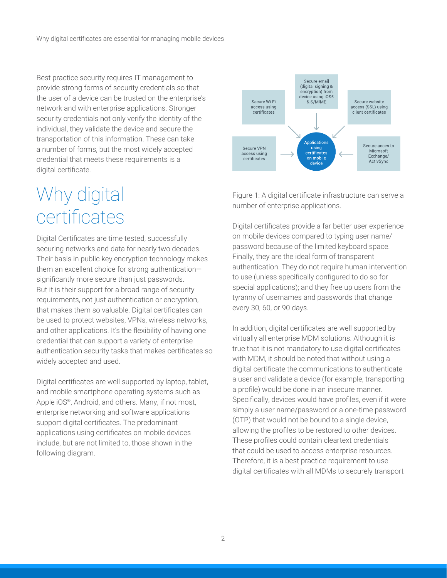Best practice security requires IT management to provide strong forms of security credentials so that the user of a device can be trusted on the enterprise's network and with enterprise applications. Stronger security credentials not only verify the identity of the individual, they validate the device and secure the transportation of this information. These can take a number of forms, but the most widely accepted credential that meets these requirements is a digital certificate.

### Why digital certificates

Digital Certificates are time tested, successfully securing networks and data for nearly two decades. Their basis in public key encryption technology makes them an excellent choice for strong authentication significantly more secure than just passwords. But it is their support for a broad range of security requirements, not just authentication or encryption, that makes them so valuable. Digital certificates can be used to protect websites, VPNs, wireless networks, and other applications. It's the flexibility of having one credential that can support a variety of enterprise authentication security tasks that makes certificates so widely accepted and used.

Digital certificates are well supported by laptop, tablet, and mobile smartphone operating systems such as Apple iOS®, Android, and others. Many, if not most, enterprise networking and software applications support digital certificates. The predominant applications using certificates on mobile devices include, but are not limited to, those shown in the following diagram.



Figure 1: A digital certificate infrastructure can serve a number of enterprise applications.

Digital certificates provide a far better user experience on mobile devices compared to typing user name/ password because of the limited keyboard space. Finally, they are the ideal form of transparent authentication. They do not require human intervention to use (unless specifically configured to do so for special applications); and they free up users from the tyranny of usernames and passwords that change every 30, 60, or 90 days.

In addition, digital certificates are well supported by virtually all enterprise MDM solutions. Although it is true that it is not mandatory to use digital certificates with MDM, it should be noted that without using a digital certificate the communications to authenticate a user and validate a device (for example, transporting a profile) would be done in an insecure manner. Specifically, devices would have profiles, even if it were simply a user name/password or a one-time password (OTP) that would not be bound to a single device, allowing the profiles to be restored to other devices. These profiles could contain cleartext credentials that could be used to access enterprise resources. Therefore, it is a best practice requirement to use digital certificates with all MDMs to securely transport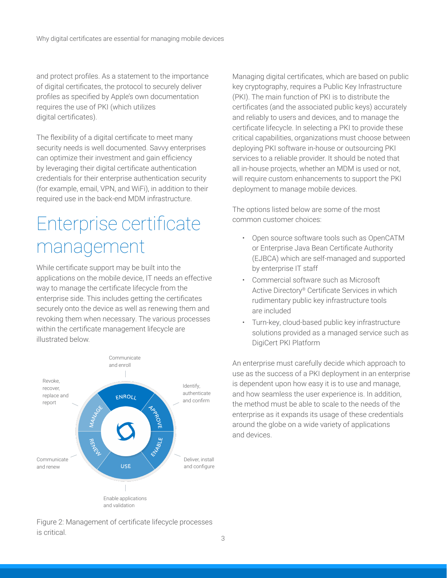and protect profiles. As a statement to the importance of digital certificates, the protocol to securely deliver profiles as specified by Apple's own documentation requires the use of PKI (which utilizes digital certificates).

The flexibility of a digital certificate to meet many security needs is well documented. Savvy enterprises can optimize their investment and gain efficiency by leveraging their digital certificate authentication credentials for their enterprise authentication security (for example, email, VPN, and WiFi), in addition to their required use in the back-end MDM infrastructure.

## Enterprise certificate management

While certificate support may be built into the applications on the mobile device, IT needs an effective way to manage the certificate lifecycle from the enterprise side. This includes getting the certificates securely onto the device as well as renewing them and revoking them when necessary. The various processes within the certificate management lifecycle are illustrated below.



Managing digital certificates, which are based on public key cryptography, requires a Public Key Infrastructure (PKI). The main function of PKI is to distribute the certificates (and the associated public keys) accurately and reliably to users and devices, and to manage the certificate lifecycle. In selecting a PKI to provide these critical capabilities, organizations must choose between deploying PKI software in-house or outsourcing PKI services to a reliable provider. It should be noted that all in-house projects, whether an MDM is used or not, will require custom enhancements to support the PKI deployment to manage mobile devices.

The options listed below are some of the most common customer choices:

- Open source software tools such as OpenCATM or Enterprise Java Bean Certificate Authority (EJBCA) which are self-managed and supported by enterprise IT staff
- Commercial software such as Microsoft Active Directory® Certificate Services in which rudimentary public key infrastructure tools are included
- Turn-key, cloud-based public key infrastructure solutions provided as a managed service such as DigiCert PKI Platform

An enterprise must carefully decide which approach to use as the success of a PKI deployment in an enterprise is dependent upon how easy it is to use and manage, and how seamless the user experience is. In addition, the method must be able to scale to the needs of the enterprise as it expands its usage of these credentials around the globe on a wide variety of applications and devices.

Figure 2: Management of certificate lifecycle processes is critical.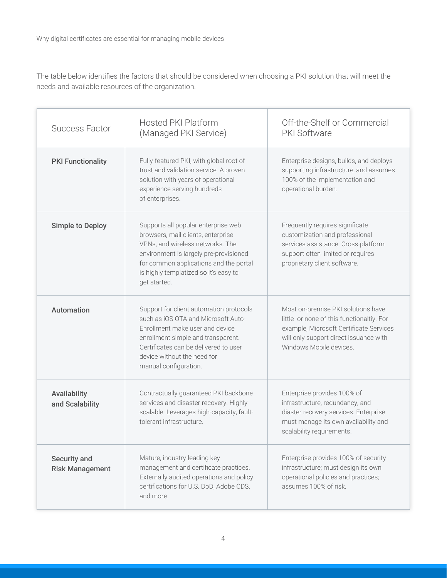The table below identifies the factors that should be considered when choosing a PKI solution that will meet the needs and available resources of the organization.

| <b>Success Factor</b>                  | <b>Hosted PKI Platform</b><br>(Managed PKI Service)                                                                                                                                                                                                        | Off-the-Shelf or Commercial<br>PKI Software                                                                                                                                                     |
|----------------------------------------|------------------------------------------------------------------------------------------------------------------------------------------------------------------------------------------------------------------------------------------------------------|-------------------------------------------------------------------------------------------------------------------------------------------------------------------------------------------------|
| <b>PKI Functionality</b>               | Fully-featured PKI, with global root of<br>trust and validation service. A proven<br>solution with years of operational<br>experience serving hundreds<br>of enterprises.                                                                                  | Enterprise designs, builds, and deploys<br>supporting infrastructure, and assumes<br>100% of the implementation and<br>operational burden.                                                      |
| <b>Simple to Deploy</b>                | Supports all popular enterprise web<br>browsers, mail clients, enterprise<br>VPNs, and wireless networks. The<br>environment is largely pre-provisioned<br>for common applications and the portal<br>is highly templatized so it's easy to<br>get started. | Frequently requires significate<br>customization and professional<br>services assistance. Cross-platform<br>support often limited or requires<br>proprietary client software.                   |
| Automation                             | Support for client automation protocols<br>such as iOS OTA and Microsoft Auto-<br>Enrollment make user and device<br>enrollment simple and transparent.<br>Certificates can be delivered to user<br>device without the need for<br>manual configuration.   | Most on-premise PKI solutions have<br>little or none of this functionaltiy. For<br>example, Microsoft Certificate Services<br>will only support direct issuance with<br>Windows Mobile devices. |
| Availability<br>and Scalability        | Contractually guaranteed PKI backbone<br>services and disaster recovery. Highly<br>scalable. Leverages high-capacity, fault-<br>tolerant infrastructure.                                                                                                   | Enterprise provides 100% of<br>infrastructure, redundancy, and<br>diaster recovery services. Enterprise<br>must manage its own availability and<br>scalability requirements.                    |
| Security and<br><b>Risk Management</b> | Mature, industry-leading key<br>management and certificate practices.<br>Externally audited operations and policy<br>certifications for U.S. DoD, Adobe CDS,<br>and more.                                                                                  | Enterprise provides 100% of security<br>infrastructure; must design its own<br>operational policies and practices;<br>assumes 100% of risk.                                                     |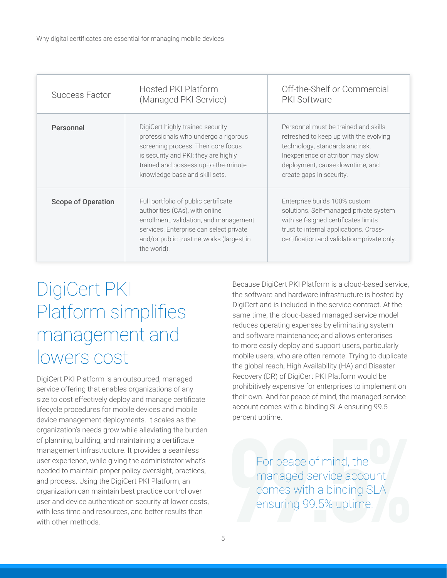| <b>Success Factor</b>     | <b>Hosted PKI Platform</b><br>(Managed PKI Service)                                                                                                                                                                               | Off-the-Shelf or Commercial<br><b>PKI Software</b>                                                                                                                                                                     |
|---------------------------|-----------------------------------------------------------------------------------------------------------------------------------------------------------------------------------------------------------------------------------|------------------------------------------------------------------------------------------------------------------------------------------------------------------------------------------------------------------------|
| Personnel                 | DigiCert highly-trained security<br>professionals who undergo a rigorous<br>screening process. Their core focus<br>is security and PKI; they are highly<br>trained and possess up-to-the-minute<br>knowledge base and skill sets. | Personnel must be trained and skills<br>refreshed to keep up with the evolving<br>technology, standards and risk.<br>Inexperience or attrition may slow<br>deployment, cause downtime, and<br>create gaps in security. |
| <b>Scope of Operation</b> | Full portfolio of public certificate<br>authorities (CAs), with online<br>enrollment, validation, and management<br>services. Enterprise can select private<br>and/or public trust networks (largest in<br>the world).            | Enterprise builds 100% custom<br>solutions. Self-managed private system<br>with self-signed certificates limits<br>trust to internal applications. Cross-<br>certification and validation-private only.                |

### DigiCert PKI Platform simplifies management and lowers cost

DigiCert PKI Platform is an outsourced, managed service offering that enables organizations of any size to cost effectively deploy and manage certificate lifecycle procedures for mobile devices and mobile device management deployments. It scales as the organization's needs grow while alleviating the burden of planning, building, and maintaining a certificate management infrastructure. It provides a seamless user experience, while giving the administrator what's needed to maintain proper policy oversight, practices, and process. Using the DigiCert PKI Platform, an organization can maintain best practice control over user and device authentication security at lower costs, with less time and resources, and better results than with other methods.

Because DigiCert PKI Platform is a cloud-based service, the software and hardware infrastructure is hosted by DigiCert and is included in the service contract. At the same time, the cloud-based managed service model reduces operating expenses by eliminating system and software maintenance; and allows enterprises to more easily deploy and support users, particularly mobile users, who are often remote. Trying to duplicate the global reach, High Availability (HA) and Disaster Recovery (DR) of DigiCert PKI Platform would be prohibitively expensive for enterprises to implement on their own. And for peace of mind, the managed service account comes with a binding SLA ensuring 99.5 percent uptime.

For peace of mind, the<br>managed service account<br>comes with a binding SLA<br>ensuring 99.5% uptime. managed service account comes with a binding SLA ensuring 99.5% uptime.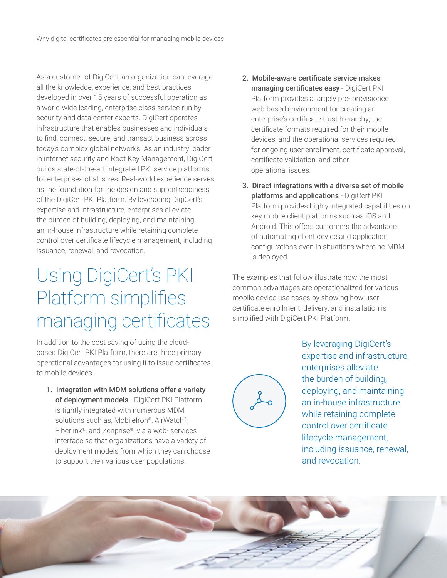As a customer of DigiCert, an organization can leverage all the knowledge, experience, and best practices developed in over 15 years of successful operation as a world-wide leading, enterprise class service run by security and data center experts. DigiCert operates infrastructure that enables businesses and individuals to find, connect, secure, and transact business across today's complex global networks. As an industry leader in internet security and Root Key Management, DigiCert builds state-of-the-art integrated PKI service platforms for enterprises of all sizes. Real-world experience serves as the foundation for the design and supportreadiness of the DigiCert PKI Platform. By leveraging DigiCert's expertise and infrastructure, enterprises alleviate the burden of building, deploying, and maintaining an in-house infrastructure while retaining complete control over certificate lifecycle management, including issuance, renewal, and revocation.

## Using DigiCert's PKI Platform simplifies managing certificates

In addition to the cost saving of using the cloudbased DigiCert PKI Platform, there are three primary operational advantages for using it to issue certificates to mobile devices.

1. Integration with MDM solutions offer a variety of deployment models - DigiCert PKI Platform is tightly integrated with numerous MDM solutions such as, MobileIron®, AirWatch®, Fiberlink®, and Zenprise®; via a web- services interface so that organizations have a variety of deployment models from which they can choose to support their various user populations.

- 2. Mobile-aware certificate service makes managing certificates easy - DigiCert PKI Platform provides a largely pre- provisioned web-based environment for creating an enterprise's certificate trust hierarchy, the certificate formats required for their mobile devices, and the operational services required for ongoing user enrollment, certificate approval, certificate validation, and other operational issues.
- 3. Direct integrations with a diverse set of mobile platforms and applications - DigiCert PKI Platform provides highly integrated capabilities on key mobile client platforms such as iOS and Android. This offers customers the advantage of automating client device and application configurations even in situations where no MDM is deployed.

The examples that follow illustrate how the most common advantages are operationalized for various mobile device use cases by showing how user certificate enrollment, delivery, and installation is simplified with DigiCert PKI Platform.



By leveraging DigiCert's expertise and infrastructure, enterprises alleviate the burden of building, deploying, and maintaining an in-house infrastructure while retaining complete control over certificate lifecycle management, including issuance, renewal, and revocation.

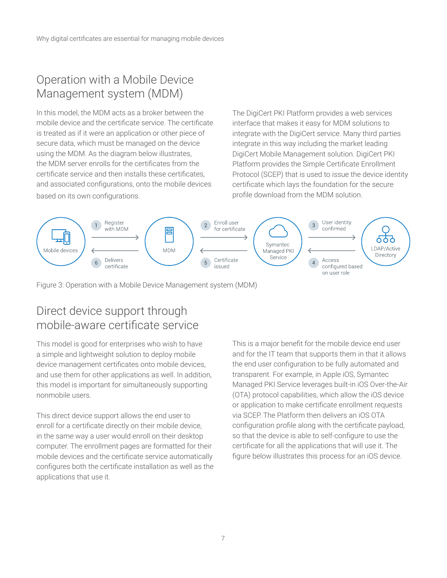#### Operation with a Mobile Device Management system (MDM)

In this model, the MDM acts as a broker between the mobile device and the certificate service. The certificate is treated as if it were an application or other piece of secure data, which must be managed on the device using the MDM. As the diagram below illustrates, the MDM server enrolls for the certificates from the certificate service and then installs these certificates, and associated configurations, onto the mobile devices based on its own configurations.

The DigiCert PKI Platform provides a web services interface that makes it easy for MDM solutions to integrate with the DigiCert service. Many third parties integrate in this way including the market leading DigiCert Mobile Management solution. DigiCert PKI Platform provides the Simple Certificate Enrollment Protocol (SCEP) that is used to issue the device identity certificate which lays the foundation for the secure profile download from the MDM solution.



Figure 3: Operation with a Mobile Device Management system (MDM)

#### Direct device support through mobile-aware certificate service

This model is good for enterprises who wish to have a simple and lightweight solution to deploy mobile device management certificates onto mobile devices, and use them for other applications as well. In addition, this model is important for simultaneously supporting nonmobile users.

This direct device support allows the end user to enroll for a certificate directly on their mobile device, in the same way a user would enroll on their desktop computer. The enrollment pages are formatted for their mobile devices and the certificate service automatically configures both the certificate installation as well as the applications that use it.

This is a major benefit for the mobile device end user and for the IT team that supports them in that it allows the end user configuration to be fully automated and transparent. For example, in Apple iOS, Symantec Managed PKI Service leverages built-in iOS Over-the-Air (OTA) protocol capabilities, which allow the iOS device or application to make certificate enrollment requests via SCEP. The Platform then delivers an iOS OTA configuration profile along with the certificate payload, so that the device is able to self-configure to use the certificate for all the applications that will use it. The figure below illustrates this process for an iOS device.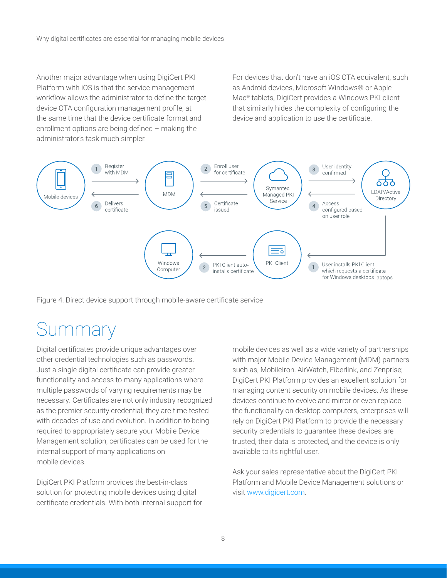Another major advantage when using DigiCert PKI Platform with iOS is that the service management workflow allows the administrator to define the target device OTA configuration management profile, at the same time that the device certificate format and enrollment options are being defined – making the administrator's task much simpler.

For devices that don't have an iOS OTA equivalent, such as Android devices, Microsoft Windows® or Apple Mac® tablets, DigiCert provides a Windows PKI client that similarly hides the complexity of configuring the device and application to use the certificate.



Figure 4: Direct device support through mobile-aware certificate service

#### **Summary**

Digital certificates provide unique advantages over other credential technologies such as passwords. Just a single digital certificate can provide greater functionality and access to many applications where multiple passwords of varying requirements may be necessary. Certificates are not only industry recognized as the premier security credential; they are time tested with decades of use and evolution. In addition to being required to appropriately secure your Mobile Device Management solution, certificates can be used for the internal support of many applications on mobile devices.

DigiCert PKI Platform provides the best-in-class solution for protecting mobile devices using digital certificate credentials. With both internal support for mobile devices as well as a wide variety of partnerships with major Mobile Device Management (MDM) partners such as, MobileIron, AirWatch, Fiberlink, and Zenprise; DigiCert PKI Platform provides an excellent solution for managing content security on mobile devices. As these devices continue to evolve and mirror or even replace the functionality on desktop computers, enterprises will rely on DigiCert PKI Platform to provide the necessary security credentials to guarantee these devices are trusted, their data is protected, and the device is only available to its rightful user.

Ask your sales representative about the DigiCert PKI Platform and Mobile Device Management solutions or visit [www.digicert.com.](http://www.digicert.com)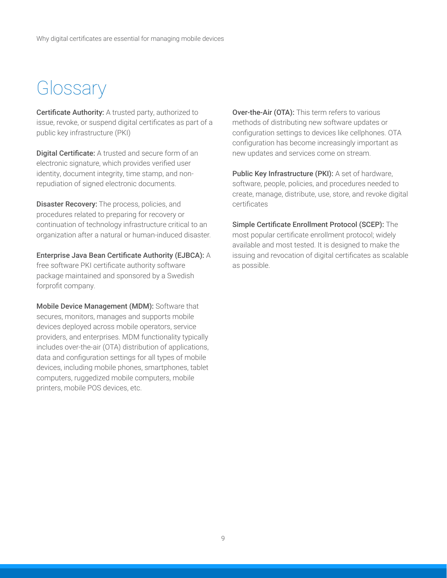#### **Glossary**

Certificate Authority: A trusted party, authorized to issue, revoke, or suspend digital certificates as part of a public key infrastructure (PKI)

Digital Certificate: A trusted and secure form of an electronic signature, which provides verified user identity, document integrity, time stamp, and nonrepudiation of signed electronic documents.

Disaster Recovery: The process, policies, and procedures related to preparing for recovery or continuation of technology infrastructure critical to an organization after a natural or human-induced disaster.

Enterprise Java Bean Certificate Authority (EJBCA): A free software PKI certificate authority software package maintained and sponsored by a Swedish forprofit company.

Mobile Device Management (MDM): Software that secures, monitors, manages and supports mobile devices deployed across mobile operators, service providers, and enterprises. MDM functionality typically includes over-the-air (OTA) distribution of applications, data and configuration settings for all types of mobile devices, including mobile phones, smartphones, tablet computers, ruggedized mobile computers, mobile printers, mobile POS devices, etc.

Over-the-Air (OTA): This term refers to various methods of distributing new software updates or configuration settings to devices like cellphones. OTA configuration has become increasingly important as new updates and services come on stream.

Public Key Infrastructure (PKI): A set of hardware, software, people, policies, and procedures needed to create, manage, distribute, use, store, and revoke digital certificates

Simple Certificate Enrollment Protocol (SCEP): The most popular certificate enrollment protocol; widely available and most tested. It is designed to make the issuing and revocation of digital certificates as scalable as possible.